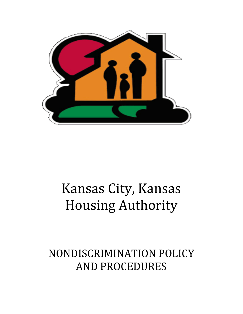

# Kansas City, Kansas Housing Authority

NONDISCRIMINATION POLICY AND PROCEDURES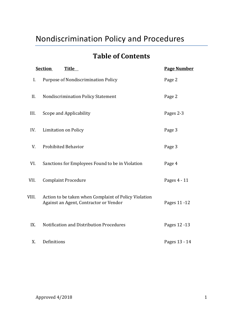## Nondiscrimination Policy and Procedures

## **Table of Contents**

| <b>Section</b><br><b>Title</b> |                                                                                                 | <b>Page Number</b> |
|--------------------------------|-------------------------------------------------------------------------------------------------|--------------------|
| Ι.                             | <b>Purpose of Nondiscrimination Policy</b>                                                      | Page 2             |
| II.                            | <b>Nondiscrimination Policy Statement</b>                                                       | Page 2             |
| III.                           | Scope and Applicability                                                                         | Pages 2-3          |
| IV.                            | <b>Limitation on Policy</b>                                                                     | Page 3             |
| V.                             | <b>Prohibited Behavior</b>                                                                      | Page 3             |
| VI.                            | Sanctions for Employees Found to be in Violation                                                | Page 4             |
| VII.                           | <b>Complaint Procedure</b>                                                                      | Pages 4 - 11       |
| VIII.                          | Action to be taken when Complaint of Policy Violation<br>Against an Agent, Contractor or Vendor | Pages 11 - 12      |
| IX.                            | Notification and Distribution Procedures                                                        | Pages 12 - 13      |
| X.                             | Definitions                                                                                     | Pages 13 - 14      |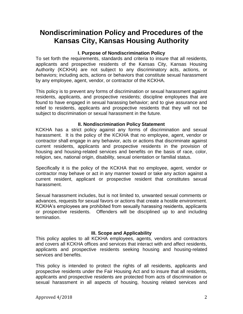### **Nondiscrimination Policy and Procedures of the Kansas City, Kansas Housing Authority**

#### **I. Purpose of Nondiscrimination Policy**

To set forth the requirements, standards and criteria to insure that all residents, applicants and prospective residents of the Kansas City, Kansas Housing Authority (KCKHA) are not subject to any discriminatory acts, actions, or behaviors; including acts, actions or behaviors that constitute sexual harassment by any employee, agent, vendor, or contractor of the KCKHA.

This policy is to prevent any forms of discrimination or sexual harassment against residents, applicants, and prospective residents; discipline employees that are found to have engaged in sexual harassing behavior; and to give assurance and relief to residents, applicants and prospective residents that they will not be subject to discrimination or sexual harassment in the future.

#### **II. Nondiscrimination Policy Statement**

KCKHA has a strict policy against any forms of discrimination and sexual harassment. It is the policy of the KCKHA that no employee, agent, vendor or contractor shall engage in any behavior, acts or actions that discriminate against current residents, applicants and prospective residents in the provision of housing and housing-related services and benefits on the basis of race, color, religion, sex, national origin, disability, sexual orientation or familial status.

Specifically it is the policy of the KCKHA that no employee, agent, vendor or contractor may behave or act in any manner toward or take any action against a current resident, applicant or prospective resident that constitutes sexual harassment.

Sexual harassment includes, but is not limited to, unwanted sexual comments or advances, requests for sexual favors or actions that create a hostile environment. KCKHA's employees are prohibited from sexually harassing residents, applicants or prospective residents. Offenders will be disciplined up to and including termination.

#### **III. Scope and Applicability**

This policy applies to all KCKHA employees, agents, vendors and contractors and covers all KCKHA offices and services that interact with and affect residents, applicants and prospective residents seeking housing and housing-related services and benefits.

This policy is intended to protect the rights of all residents, applicants and prospective residents under the Fair Housing Act and to insure that all residents, applicants and prospective residents are protected from acts of discrimination or sexual harassment in all aspects of housing, housing related services and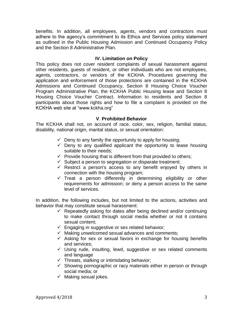benefits. In addition, all employees, agents, vendors and contractors must adhere to the agency's commitment to its Ethics and Services policy statement as outlined in the Public Housing Admission and Continued Occupancy Policy and the Section 8 Administrative Plan.

#### **IV. Limitation on Policy**

This policy does not cover resident complaints of sexual harassment against other residents, guests of resident, or other individuals who are not employees, agents, contractors, or vendors of the KCKHA. Procedures governing the application and enforcement of those protections are contained in the KCKHA Admissions and Continued Occupancy, Section 8 Housing Choice Voucher Program Administrative Plan, the KCKHA Public Housing lease and Section 8 Housing Choice Voucher Contract. Information to residents and Section 8 participants about those rights and how to file a complaint is provided on the KCKHA web site at "www.kckha.org"

#### **V**. **Prohibited Behavior**

The KCKHA shall not, on account of race, color, sex, religion, familial status, disability, national origin, marital status, or sexual orientation:

- $\checkmark$  Deny to any family the opportunity to apply for housing;
- $\checkmark$  Deny to any qualified applicant the opportunity to lease housing suitable to their needs;
- $\checkmark$  Provide housing that is different from that provided to others;
- $\checkmark$  Subject a person to segregation or disparate treatment;
- $\checkmark$  Restrict a person's access to any benefit enjoyed by others in connection with the housing program;
- $\checkmark$  Treat a person differently in determining eligibility or other requirements for admission; or deny a person access to the same level of services.

In addition, the following includes, but not limited to the actions, activities and behavior that may constitute sexual harassment:

- $\checkmark$  Repeatedly asking for dates after being declined and/or continuing to make contact through social media whether or not it contains sexual content;
- $\checkmark$  Engaging in suggestive or sex related behavior;
- $\checkmark$  Making unwelcomed sexual advances and comments;
- $\checkmark$  Asking for sex or sexual favors in exchange for housing benefits and services;
- $\checkmark$  Using rude, insulting, lewd, suggestive or sex related comments and language
- $\checkmark$  Threats, stalking or intimidating behavior;
- $\checkmark$  Showing pornographic or racy materials either in person or through social media; or
- $\checkmark$  Making sexual jokes.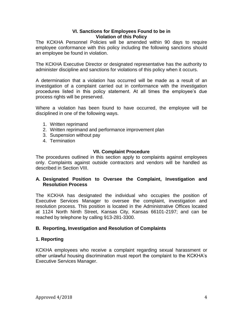#### **VI. Sanctions for Employees Found to be in Violation of this Policy**

The KCKHA Personnel Policies will be amended within 90 days to require employee conformance with this policy including the following sanctions should an employee be found in violation.

The KCKHA Executive Director or designated representative has the authority to administer discipline and sanctions for violations of this policy when it occurs.

A determination that a violation has occurred will be made as a result of an investigation of a complaint carried out in conformance with the investigation procedures listed in this policy statement. At all times the employee's due process rights will be preserved.

Where a violation has been found to have occurred, the employee will be disciplined in one of the following ways.

- 1. Written reprimand
- 2. Written reprimand and performance improvement plan
- 3. Suspension without pay
- 4. Termination

#### **VII. Complaint Procedure**

The procedures outlined in this section apply to complaints against employees only. Complaints against outside contractors and vendors will be handled as described in Section VIII.

#### **A. Designated Position to Oversee the Complaint, Investigation and Resolution Process**

The KCKHA has designated the individual who occupies the position of Executive Services Manager to oversee the complaint, investigation and resolution process. This position is located in the Administrative Offices located at 1124 North Ninth Street, Kansas City, Kansas 66101-2197; and can be reached by telephone by calling 913-281-3300.

#### **B. Reporting, Investigation and Resolution of Complaints**

#### **1. Reporting**

KCKHA employees who receive a complaint regarding sexual harassment or other unlawful housing discrimination must report the complaint to the KCKHA's Executive Services Manager.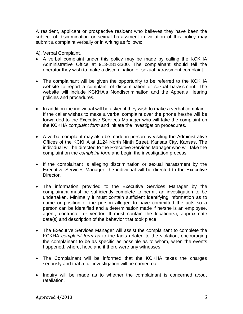A resident, applicant or prospective resident who believes they have been the subject of discrimination or sexual harassment in violation of this policy may submit a complaint verbally or in writing as follows:

A). Verbal Complaint.

- A verbal complaint under this policy may be made by calling the KCKHA Administrative Office at 913-281-3300. The complainant should tell the operator they wish to make a discrimination or sexual harassment complaint.
- The complainant will be given the opportunity to be referred to the KCKHA website to report a complaint of discrimination or sexual harassment. The website will include KCKHA's Nondiscrimination and the Appeals Hearing policies and procedures.
- In addition the individual will be asked if they wish to make a verbal complaint. If the caller wishes to make a verbal complaint over the phone he/she will be forwarded to the Executive Services Manager who will take the complaint on the KCKHA *complaint form* and initiate the investigation procedures.
- A verbal complaint may also be made in person by visiting the Administrative Offices of the KCKHA at 1124 North Ninth Street, Kansas City, Kansas. The individual will be directed to the Executive Services Manager who will take the complaint on the *complaint form* and begin the investigation process.
- If the complainant is alleging discrimination or sexual harassment by the Executive Services Manager, the individual will be directed to the Executive Director.
- The information provided to the Executive Services Manager by the complainant must be sufficiently complete to permit an investigation to be undertaken. Minimally it must contain sufficient identifying information as to name or position of the person alleged to have committed the acts so a person can be identified and a determination made if he/she is an employee, agent, contractor or vendor. It must contain the location(s), approximate date(s) and description of the behavior that took place.
- The Executive Services Manager will assist the complainant to complete the KCKHA *complaint form* as to the facts related to the violation, encouraging the complainant to be as specific as possible as to whom, when the events happened, where, how, and if there were any witnesses.
- The Complainant will be informed that the KCKHA takes the charges seriously and that a full investigation will be carried out.
- Inquiry will be made as to whether the complainant is concerned about retaliation.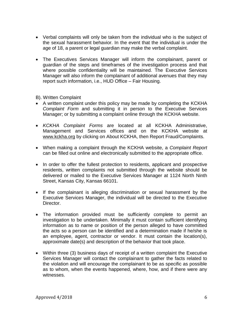- Verbal complaints will only be taken from the individual who is the subject of the sexual harassment behavior. In the event that the individual is under the age of 18, a parent or legal guardian may make the verbal complaint.
- The Executives Services Manager will inform the complainant, parent or guardian of the steps and timeframes of the investigation process and that where possible confidentiality will be maintained. The Executive Services Manager will also inform the complainant of additional avenues that they may report such information, i.e., HUD Office – Fair Housing.

#### B). Written Complaint

- A written complaint under this policy may be made by completing the KCKHA *Complaint Form* and submitting it in person to the Executive Services Manager; or by submitting a complaint online through the KCKHA website.
- *KCKHA Complaint Forms* are located at all KCKHA Administrative, Management and Services offices and on the KCKHA website at [www.kckha.org](http://www.kckha.org/) by clicking on About KCKHA, then Report Fraud/Complaints.
- When making a complaint through the KCKHA website, a *Complaint Report* can be filled out online and electronically submitted to the appropriate office.
- In order to offer the fullest protection to residents, applicant and prospective residents, written complaints not submitted through the website should be delivered or mailed to the Executive Services Manager at 1124 North Ninth Street, Kansas City, Kansas 66101.
- If the complainant is alleging discrimination or sexual harassment by the Executive Services Manager, the individual will be directed to the Executive Director.
- The information provided must be sufficiently complete to permit an investigation to be undertaken. Minimally it must contain sufficient identifying information as to name or position of the person alleged to have committed the acts so a person can be identified and a determination made if he/she is an employee, agent, contractor or vendor. It must contain the location(s), approximate date(s) and description of the behavior that took place.
- Within three (3) business days of receipt of a written complaint the Executive Services Manager will contact the complainant to gather the facts related to the violation and will encourage the complainant to be as specific as possible as to whom, when the events happened, where, how, and if there were any witnesses.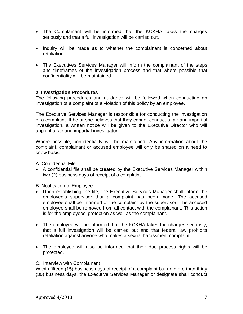- The Complainant will be informed that the KCKHA takes the charges seriously and that a full investigation will be carried out.
- Inquiry will be made as to whether the complainant is concerned about retaliation.
- The Executives Services Manager will inform the complainant of the steps and timeframes of the investigation process and that where possible that confidentiality will be maintained.

#### **2. Investigation Procedures**

The following procedures and guidance will be followed when conducting an investigation of a complaint of a violation of this policy by an employee.

The Executive Services Manager is responsible for conducting the investigation of a complaint. If he or she believes that they cannot conduct a fair and impartial investigation, a written notice will be given to the Executive Director who will appoint a fair and impartial investigator.

Where possible, confidentiality will be maintained. Any information about the complaint, complainant or accused employee will only be shared on a need to know basis.

A. Confidential File

 A confidential file shall be created by the Executive Services Manager within two (2) business days of receipt of a complaint.

B. Notification to Employee

- Upon establishing the file, the Executive Services Manager shall inform the employee's supervisor that a complaint has been made. The accused employee shall be informed of the complaint by the supervisor. The accused employee shall be removed from all contact with the complainant. This action is for the employees' protection as well as the complainant.
- The employee will be informed that the KCKHA takes the charges seriously, that a full investigation will be carried out and that federal law prohibits retaliation against anyone who makes a sexual harassment complaint.
- The employee will also be informed that their due process rights will be protected.

#### C. Interview with Complainant

Within fifteen (15) business days of receipt of a complaint but no more than thirty (30) business days, the Executive Services Manager or designate shall conduct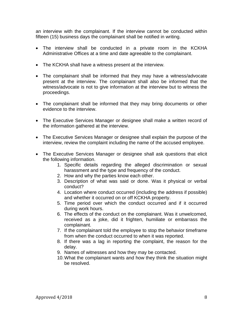an interview with the complainant. If the interview cannot be conducted within fifteen (15) business days the complainant shall be notified in writing.

- The interview shall be conducted in a private room in the KCKHA Administrative Offices at a time and date agreeable to the complainant.
- The KCKHA shall have a witness present at the interview.
- The complainant shall be informed that they may have a witness/advocate present at the interview. The complainant shall also be informed that the witness/advocate is not to give information at the interview but to witness the proceedings.
- The complainant shall be informed that they may bring documents or other evidence to the interview.
- The Executive Services Manager or designee shall make a written record of the information gathered at the interview.
- The Executive Services Manager or designee shall explain the purpose of the interview, review the complaint including the name of the accused employee.
- The Executive Services Manager or designee shall ask questions that elicit the following information.
	- 1. Specific details regarding the alleged discrimination or sexual harassment and the type and frequency of the conduct.
	- 2. How and why the parties know each other.
	- 3. Description of what was said or done. Was it physical or verbal conduct?
	- 4. Location where conduct occurred (including the address if possible) and whether it occurred on or off KCKHA property.
	- 5. Time period over which the conduct occurred and if it occurred during work hours.
	- 6. The effects of the conduct on the complainant. Was it unwelcomed, received as a joke, did it frighten, humiliate or embarrass the complainant.
	- 7. If the complainant told the employee to stop the behavior timeframe from when the conduct occurred to when it was reported.
	- 8. If there was a lag in reporting the complaint, the reason for the delay.
	- 9. Names of witnesses and how they may be contacted.
	- 10.What the complainant wants and how they think the situation might be resolved.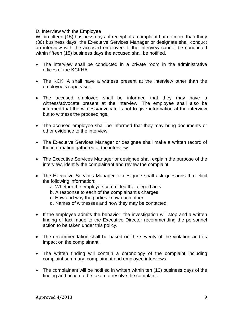#### D. Interview with the Employee

Within fifteen (15) business days of receipt of a complaint but no more than thirty (30) business days, the Executive Services Manager or designate shall conduct an interview with the accused employee. If the interview cannot be conducted within fifteen (15) business days the accused shall be notified.

- The interview shall be conducted in a private room in the administrative offices of the KCKHA.
- The KCKHA shall have a witness present at the interview other than the employee's supervisor.
- The accused employee shall be informed that they may have a witness/advocate present at the interview. The employee shall also be informed that the witness/advocate is not to give information at the interview but to witness the proceedings.
- The accused employee shall be informed that they may bring documents or other evidence to the interview.
- The Executive Services Manager or designee shall make a written record of the information gathered at the interview.
- The Executive Services Manager or designee shall explain the purpose of the interview, identify the complainant and review the complaint.
- The Executive Services Manager or designee shall ask questions that elicit the following information:
	- a. Whether the employee committed the alleged acts
	- b. A response to each of the complainant's charges
	- c. How and why the parties know each other
	- d. Names of witnesses and how they may be contacted
- If the employee admits the behavior, the investigation will stop and a written finding of fact made to the Executive Director recommending the personnel action to be taken under this policy.
- The recommendation shall be based on the severity of the violation and its impact on the complainant.
- The written finding will contain a chronology of the complaint including complaint summary, complainant and employee interviews.
- The complainant will be notified in written within ten (10) business days of the finding and action to be taken to resolve the complaint.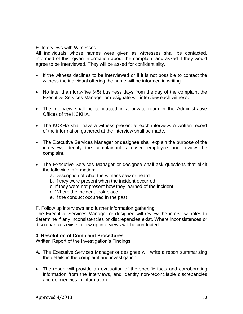#### E. Interviews with Witnesses

All individuals whose names were given as witnesses shall be contacted, informed of this, given information about the complaint and asked if they would agree to be interviewed. They will be asked for confidentiality.

- If the witness declines to be interviewed or if it is not possible to contact the witness the individual offering the name will be informed in writing.
- No later than forty-five (45) business days from the day of the complaint the Executive Services Manager or designate will interview each witness.
- The interview shall be conducted in a private room in the Administrative Offices of the KCKHA.
- The KCKHA shall have a witness present at each interview. A written record of the information gathered at the interview shall be made.
- The Executive Services Manager or designee shall explain the purpose of the interview, identify the complainant, accused employee and review the complaint.
- The Executive Services Manager or designee shall ask questions that elicit the following information:
	- a. Description of what the witness saw or heard
	- b. If they were present when the incident occurred
	- c. If they were not present how they learned of the incident
	- d. Where the incident took place
	- e. If the conduct occurred in the past

F. Follow up interviews and further information gathering

The Executive Services Manager or designee will review the interview notes to determine if any inconsistencies or discrepancies exist. Where inconsistences or discrepancies exists follow up interviews will be conducted.

#### **3. Resolution of Complaint Procedures**

Written Report of the Investigation's Findings

- A. The Executive Services Manager or designee will write a report summarizing the details in the complaint and investigation.
- The report will provide an evaluation of the specific facts and corroborating information from the interviews, and identify non-reconcilable discrepancies and deficiencies in information.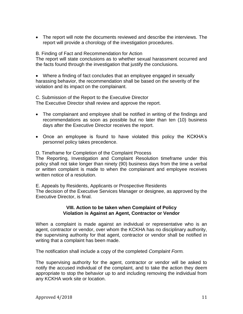The report will note the documents reviewed and describe the interviews. The report will provide a chorology of the investigation procedures.

#### B. Finding of Fact and Recommendation for Action

The report will state conclusions as to whether sexual harassment occurred and the facts found through the investigation that justify the conclusions.

 Where a finding of fact concludes that an employee engaged in sexually harassing behavior, the recommendation shall be based on the severity of the violation and its impact on the complainant.

C. Submission of the Report to the Executive Director The Executive Director shall review and approve the report.

- The complainant and employee shall be notified in writing of the findings and recommendations as soon as possible but no later than ten (10) business days after the Executive Director receives the report.
- Once an employee is found to have violated this policy the KCKHA's personnel policy takes precedence.

D. Timeframe for Completion of the Complaint Process

The Reporting, Investigation and Complaint Resolution timeframe under this policy shall not take longer than ninety (90) business days from the time a verbal or written complaint is made to when the complainant and employee receives written notice of a resolution.

E. Appeals by Residents, Applicants or Prospective Residents The decision of the Executive Services Manager or designee, as approved by the Executive Director, is final.

#### **VIII. Action to be taken when Complaint of Policy Violation is Against an Agent, Contractor or Vendor**

When a complaint is made against an individual or representative who is an agent, contractor or vendor, over whom the KCKHA has no disciplinary authority, the supervising authority for that agent, contractor or vendor shall be notified in writing that a complaint has been made.

The notification shall include a copy of the completed *Complaint Form.* 

The supervising authority for the agent, contractor or vendor will be asked to notify the accused individual of the complaint, and to take the action they deem appropriate to stop the behavior up to and including removing the individual from any KCKHA work site or location.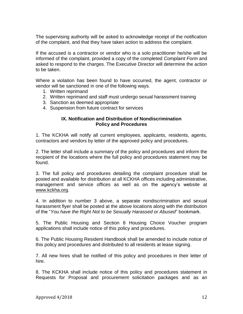The supervising authority will be asked to acknowledge receipt of the notification of the complaint, and that they have taken action to address the complaint.

If the accused is a contractor or vendor who is a solo practitioner he/she will be informed of the complaint, provided a copy of the completed *Complaint Form* and asked to respond to the charges. The Executive Director will determine the action to be taken.

Where a violation has been found to have occurred, the agent, contractor or vendor will be sanctioned in one of the following ways.

- 1. Written reprimand
- 2. Written reprimand and staff must undergo sexual harassment training
- 3. Sanction as deemed appropriate
- 4. Suspension from future contract for services

#### **IX. Notification and Distribution of Nondiscrimination Policy and Procedures**

1. The KCKHA will notify all current employees, applicants, residents, agents, contractors and vendors by letter of the approved policy and procedures.

2. The letter shall include a summary of the policy and procedures and inform the recipient of the locations where the full policy and procedures statement may be found.

3. The full policy and procedures detailing the complaint procedure shall be posted and available for distribution at all KCKHA offices including administrative, management and service offices as well as on the agency's website at [www.kckha.org.](http://www.kckha.org/)

4. In addition to number 3 above, a separate nondiscrimination and sexual harassment flyer shall be posted at the above locations along with the distribution of the "*You have the Right Not to be Sexually Harassed or Abused*" bookmark.

5. The Public Housing and Section 8 Housing Choice Voucher program applications shall include notice of this policy and procedures.

6. The Public Housing Resident Handbook shall be amended to include notice of this policy and procedures and distributed to all residents at lease signing.

7. All new hires shall be notified of this policy and procedures in their letter of hire.

8. The KCKHA shall include notice of this policy and procedures statement in Requests for Proposal and procurement solicitation packages and as an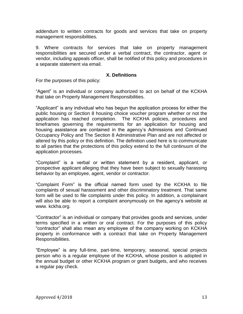addendum to written contracts for goods and services that take on property management responsibilities.

9. Where contracts for services that take on property management responsibilities are secured under a verbal contract, the contractor, agent or vendor, including appeals officer, shall be notified of this policy and procedures in a separate statement via email.

#### **X. Definitions**

For the purposes of this policy:

"Agent" is an individual or company authorized to act on behalf of the KCKHA that take on Property Management Responsibilities.

"Applicant" is any individual who has begun the application process for either the public housing or Section 8 housing choice voucher program whether or not the application has reached completion. The KCKHA policies, procedures and timeframes governing the requirements for an application for housing and housing assistance are contained in the agency's Admissions and Continued Occupancy Policy and The Section 8 Administrative Plan and are not affected or altered by this policy or this definition. The definition used here is to communicate to all parties that the protections of this policy extend to the full continuum of the application processes.

"Complaint" is a verbal or written statement by a resident, applicant, or prospective applicant alleging that they have been subject to sexually harassing behavior by an employee, agent, vendor or contractor.

"Complaint Form" is the official named form used by the KCKHA to file complaints of sexual harassment and other discriminatory treatment. That same form will be used to file complaints under this policy. In addition, a complainant will also be able to report a complaint anonymously on the agency's website at www. kckha.org.

"Contractor" is an individual or company that provides goods and services, under terms specified in a written or oral contract. For the purposes of this policy "contractor" shall also mean any employee of the company working on KCKHA property in conformance with a contract that take on Property Management Responsibilities.

"Employee" is any full-time, part-time, temporary, seasonal, special projects person who is a regular employee of the KCKHA, whose position is adopted in the annual budget or other KCKHA program or grant budgets, and who receives a regular pay check.